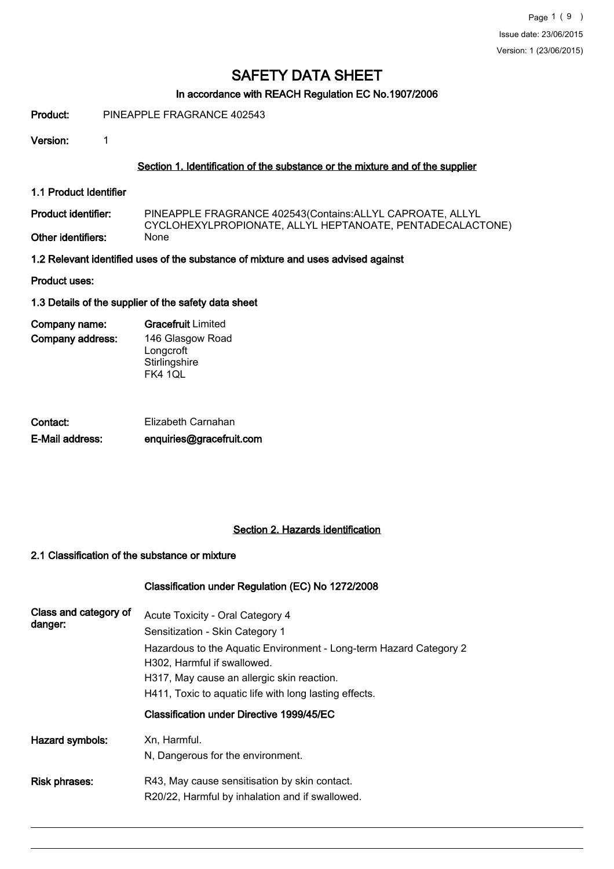## In accordance with REACH Regulation EC No.1907/2006

Product: PINEAPPLE FRAGRANCE 402543

Version: 1

#### Section 1. Identification of the substance or the mixture and of the supplier

1.1 Product Identifier

PINEAPPLE FRAGRANCE 402543(Contains:ALLYL CAPROATE, ALLYL CYCLOHEXYLPROPIONATE, ALLYL HEPTANOATE, PENTADECALACTONE) Product identifier: Other identifiers:

1.2 Relevant identified uses of the substance of mixture and uses advised against

Product uses:

1.3 Details of the supplier of the safety data sheet

| Company name:    | <b>Gracefruit</b> Limited |  |  |
|------------------|---------------------------|--|--|
| Company address: | 146 Glasgow Road          |  |  |
|                  | Longcroft                 |  |  |
|                  | Stirlingshire             |  |  |
|                  | FK4 1QL                   |  |  |

| Contact:        | Elizabeth Carnahan       |
|-----------------|--------------------------|
| E-Mail address: | enquiries@gracefruit.com |

## Section 2. Hazards identification

#### 2.1 Classification of the substance or mixture

#### Classification under Regulation (EC) No 1272/2008

| Class and category of<br>danger: | Acute Toxicity - Oral Category 4<br>Sensitization - Skin Category 1<br>Hazardous to the Aquatic Environment - Long-term Hazard Category 2<br>H302, Harmful if swallowed.<br>H317, May cause an allergic skin reaction.<br>H411, Toxic to aquatic life with long lasting effects. |
|----------------------------------|----------------------------------------------------------------------------------------------------------------------------------------------------------------------------------------------------------------------------------------------------------------------------------|
|                                  | Classification under Directive 1999/45/EC                                                                                                                                                                                                                                        |
| Hazard symbols:                  | Xn, Harmful.<br>N, Dangerous for the environment.                                                                                                                                                                                                                                |
| Risk phrases:                    | R43, May cause sensitisation by skin contact.<br>R20/22, Harmful by inhalation and if swallowed.                                                                                                                                                                                 |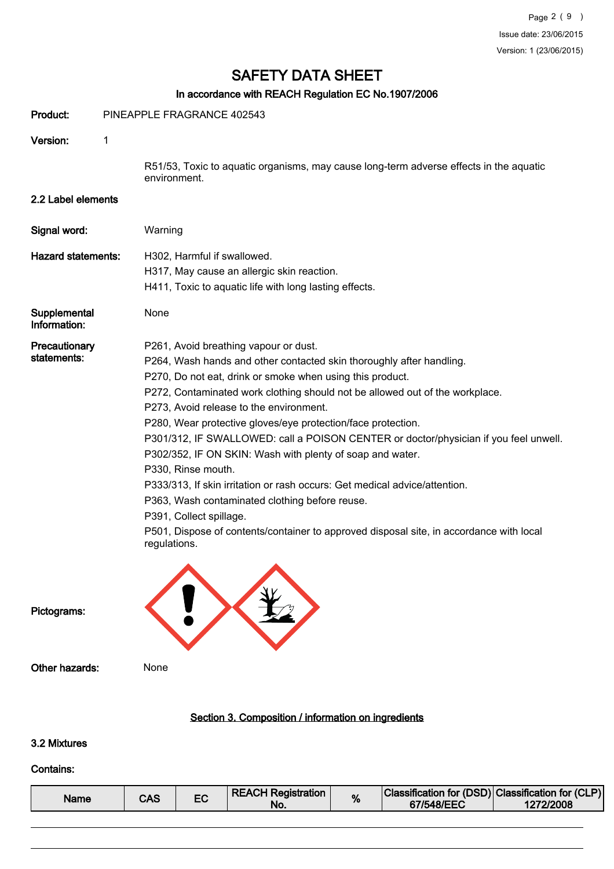# In accordance with REACH Regulation EC No.1907/2006

| Product:                     |   | PINEAPPLE FRAGRANCE 402543                                                                                                                                                                                                                                                                                                                                                                                                                                                                                                                                                                                                                                                                                                                                                                                             |
|------------------------------|---|------------------------------------------------------------------------------------------------------------------------------------------------------------------------------------------------------------------------------------------------------------------------------------------------------------------------------------------------------------------------------------------------------------------------------------------------------------------------------------------------------------------------------------------------------------------------------------------------------------------------------------------------------------------------------------------------------------------------------------------------------------------------------------------------------------------------|
| Version:                     | 1 |                                                                                                                                                                                                                                                                                                                                                                                                                                                                                                                                                                                                                                                                                                                                                                                                                        |
|                              |   | R51/53, Toxic to aquatic organisms, may cause long-term adverse effects in the aquatic<br>environment.                                                                                                                                                                                                                                                                                                                                                                                                                                                                                                                                                                                                                                                                                                                 |
| 2.2 Label elements           |   |                                                                                                                                                                                                                                                                                                                                                                                                                                                                                                                                                                                                                                                                                                                                                                                                                        |
| Signal word:                 |   | Warning                                                                                                                                                                                                                                                                                                                                                                                                                                                                                                                                                                                                                                                                                                                                                                                                                |
| <b>Hazard statements:</b>    |   | H302, Harmful if swallowed.<br>H317, May cause an allergic skin reaction.<br>H411, Toxic to aquatic life with long lasting effects.                                                                                                                                                                                                                                                                                                                                                                                                                                                                                                                                                                                                                                                                                    |
| Supplemental<br>Information: |   | None                                                                                                                                                                                                                                                                                                                                                                                                                                                                                                                                                                                                                                                                                                                                                                                                                   |
| Precautionary<br>statements: |   | P261, Avoid breathing vapour or dust.<br>P264, Wash hands and other contacted skin thoroughly after handling.<br>P270, Do not eat, drink or smoke when using this product.<br>P272, Contaminated work clothing should not be allowed out of the workplace.<br>P273, Avoid release to the environment.<br>P280, Wear protective gloves/eye protection/face protection.<br>P301/312, IF SWALLOWED: call a POISON CENTER or doctor/physician if you feel unwell.<br>P302/352, IF ON SKIN: Wash with plenty of soap and water.<br>P330, Rinse mouth.<br>P333/313, If skin irritation or rash occurs: Get medical advice/attention.<br>P363, Wash contaminated clothing before reuse.<br>P391, Collect spillage.<br>P501, Dispose of contents/container to approved disposal site, in accordance with local<br>regulations. |
| Pictograms:                  |   |                                                                                                                                                                                                                                                                                                                                                                                                                                                                                                                                                                                                                                                                                                                                                                                                                        |
| Other hazards:               |   | None                                                                                                                                                                                                                                                                                                                                                                                                                                                                                                                                                                                                                                                                                                                                                                                                                   |
|                              |   | Section 3. Composition / information on ingredients                                                                                                                                                                                                                                                                                                                                                                                                                                                                                                                                                                                                                                                                                                                                                                    |

# 3.2 Mixtures

#### Contains:

|  | Name | CAS | гΩ | <b>REACH Registration</b><br>No. | % | Classification for (DSD) Classification for (CLP)<br>67/548/EEC | 1272/2008 |
|--|------|-----|----|----------------------------------|---|-----------------------------------------------------------------|-----------|
|--|------|-----|----|----------------------------------|---|-----------------------------------------------------------------|-----------|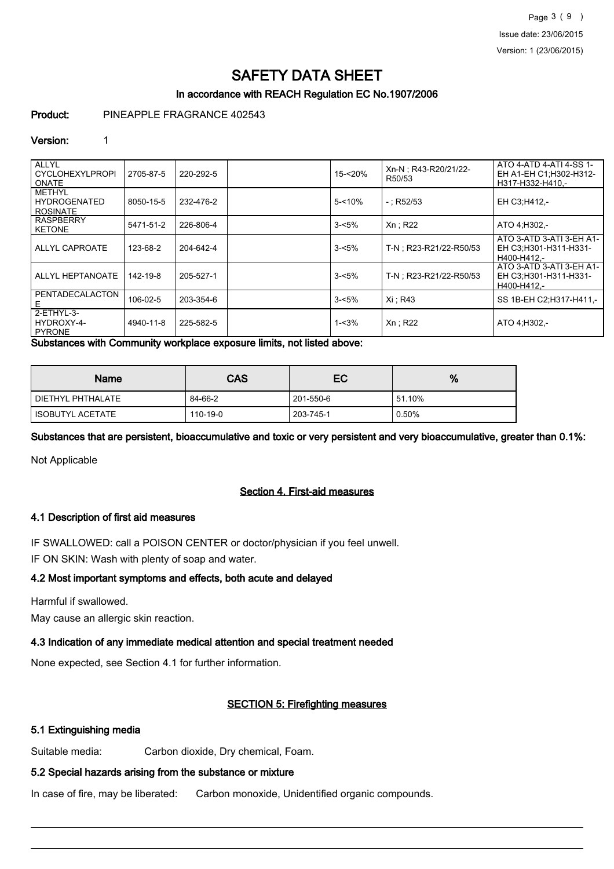# In accordance with REACH Regulation EC No.1907/2006

Product: PINEAPPLE FRAGRANCE 402543

#### Version: 1

| <b>LALLYL</b><br><b>CYCLOHEXYLPROPI</b><br><b>ONATE</b> | 2705-87-5 | 220-292-5 | 15-<20%   | Xn-N ; R43-R20/21/22-<br>R50/53 | ATO 4-ATD 4-ATI 4-SS 1-<br>EH A1-EH C1: H302-H312-<br>H317-H332-H410,- |
|---------------------------------------------------------|-----------|-----------|-----------|---------------------------------|------------------------------------------------------------------------|
| <b>METHYL</b><br><b>HYDROGENATED</b><br><b>ROSINATE</b> | 8050-15-5 | 232-476-2 | $5 - 10%$ | $-$ : R52/53                    | EH C3:H412,-                                                           |
| <b>RASPBERRY</b><br><b>KETONE</b>                       | 5471-51-2 | 226-806-4 | $3 - 5%$  | $Xn$ ; R22                      | ATO 4; H302,-                                                          |
| ALLYL CAPROATE                                          | 123-68-2  | 204-642-4 | $3 - 5%$  | T-N : R23-R21/22-R50/53         | ATO 3-ATD 3-ATI 3-EH A1-<br>EH C3;H301-H311-H331-<br>H400-H412.-       |
| ALLYL HEPTANOATE                                        | 142-19-8  | 205-527-1 | $3 - 5%$  | T-N : R23-R21/22-R50/53         | ATO 3-ATD 3-ATI 3-EH A1-<br>EH C3:H301-H311-H331-<br>H400-H412.-       |
| PENTADECALACTON<br>Ε                                    | 106-02-5  | 203-354-6 | $3 - 5%$  | Xi: R43                         | SS 1B-EH C2:H317-H411 -                                                |
| 2-ETHYL-3-<br>HYDROXY-4-<br>PYRONE                      | 4940-11-8 | 225-582-5 | $1 - 3%$  | Xn ; R22                        | ATO 4:H302,-                                                           |

Substances with Community workplace exposure limits, not listed above:

| <b>Name</b>        | CAS      | EC        | %      |
|--------------------|----------|-----------|--------|
| DIETHYL PHTHALATE  | 84-66-2  | 201-550-6 | 51.10% |
| I ISOBUTYL ACETATE | 110-19-0 | 203-745-1 | 0.50%  |

Substances that are persistent, bioaccumulative and toxic or very persistent and very bioaccumulative, greater than 0.1%:

Not Applicable

## Section 4. First-aid measures

# 4.1 Description of first aid measures

IF SWALLOWED: call a POISON CENTER or doctor/physician if you feel unwell.

IF ON SKIN: Wash with plenty of soap and water.

# 4.2 Most important symptoms and effects, both acute and delayed

Harmful if swallowed.

May cause an allergic skin reaction.

# 4.3 Indication of any immediate medical attention and special treatment needed

None expected, see Section 4.1 for further information.

# SECTION 5: Firefighting measures

# 5.1 Extinguishing media

Suitable media: Carbon dioxide, Dry chemical, Foam.

# 5.2 Special hazards arising from the substance or mixture

In case of fire, may be liberated: Carbon monoxide, Unidentified organic compounds.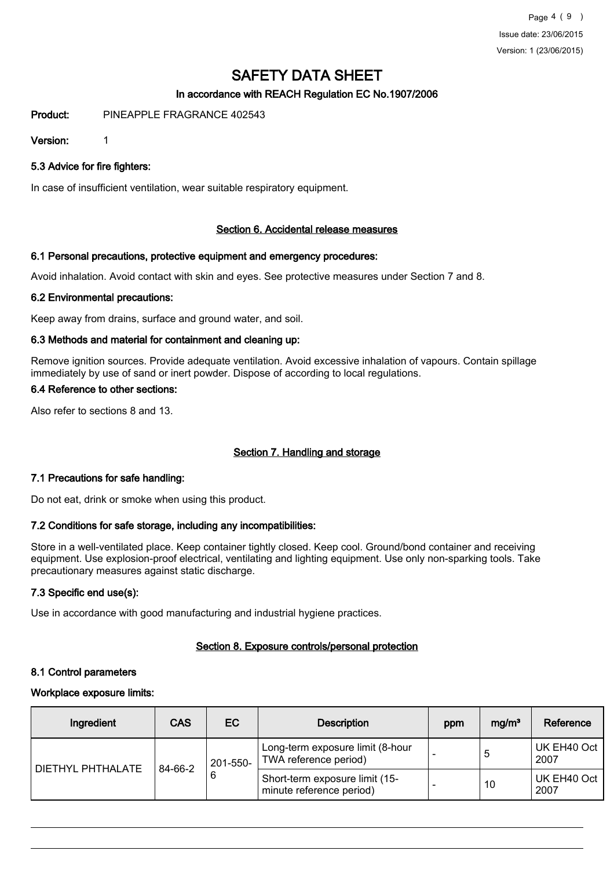# In accordance with REACH Regulation EC No.1907/2006

Product: PINEAPPLE FRAGRANCE 402543

Version: 1

5.3 Advice for fire fighters:

In case of insufficient ventilation, wear suitable respiratory equipment.

#### Section 6. Accidental release measures

#### 6.1 Personal precautions, protective equipment and emergency procedures:

Avoid inhalation. Avoid contact with skin and eyes. See protective measures under Section 7 and 8.

#### 6.2 Environmental precautions:

Keep away from drains, surface and ground water, and soil.

#### 6.3 Methods and material for containment and cleaning up:

Remove ignition sources. Provide adequate ventilation. Avoid excessive inhalation of vapours. Contain spillage immediately by use of sand or inert powder. Dispose of according to local regulations.

## 6.4 Reference to other sections:

Also refer to sections 8 and 13.

## Section 7. Handling and storage

#### 7.1 Precautions for safe handling:

Do not eat, drink or smoke when using this product.

## 7.2 Conditions for safe storage, including any incompatibilities:

Store in a well-ventilated place. Keep container tightly closed. Keep cool. Ground/bond container and receiving equipment. Use explosion-proof electrical, ventilating and lighting equipment. Use only non-sparking tools. Take precautionary measures against static discharge.

#### 7.3 Specific end use(s):

Use in accordance with good manufacturing and industrial hygiene practices.

## Section 8. Exposure controls/personal protection

#### 8.1 Control parameters

#### Workplace exposure limits:

| Ingredient        | <b>CAS</b> | EC                       | <b>Description</b>                                         | ppm | mg/m <sup>3</sup> | Reference           |
|-------------------|------------|--------------------------|------------------------------------------------------------|-----|-------------------|---------------------|
| DIETHYL PHTHALATE |            | 201-550-<br>84-66-2<br>6 | Long-term exposure limit (8-hour<br>TWA reference period)  |     | 5                 | UK EH40 Oct<br>2007 |
|                   |            |                          | Short-term exposure limit (15-<br>minute reference period) |     | 10                | UK EH40 Oct<br>2007 |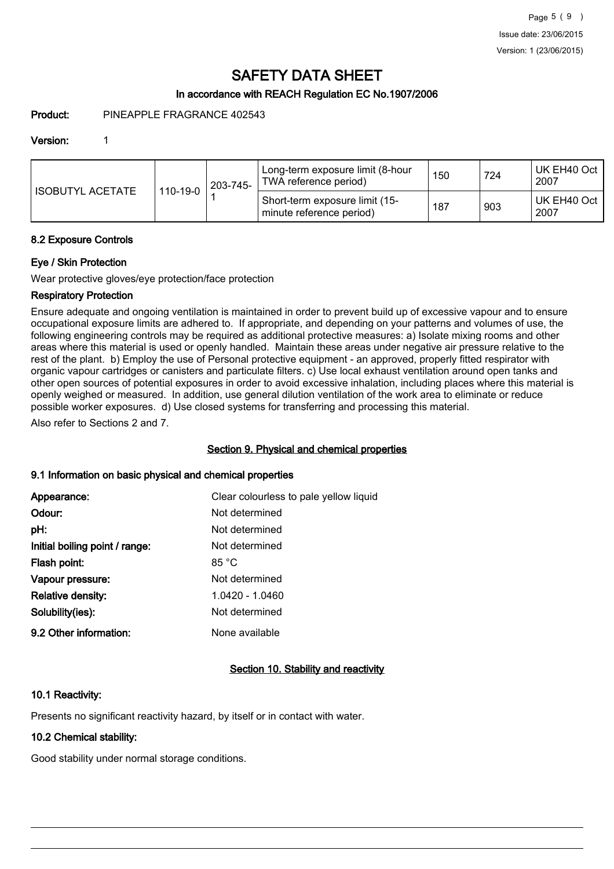# In accordance with REACH Regulation EC No.1907/2006

Product: PINEAPPLE FRAGRANCE 402543

#### Version: 1

| I ISOBUTYL ACETATE |          | 203-745- | Long-term exposure limit (8-hour<br>TWA reference period)  | 150 | 724 | UK EH40 Oct<br>2007 |
|--------------------|----------|----------|------------------------------------------------------------|-----|-----|---------------------|
|                    | 110-19-0 |          | Short-term exposure limit (15-<br>minute reference period) | 187 | 903 | UK EH40 Oct<br>2007 |

#### 8.2 Exposure Controls

## Eye / Skin Protection

Wear protective gloves/eye protection/face protection

## Respiratory Protection

Ensure adequate and ongoing ventilation is maintained in order to prevent build up of excessive vapour and to ensure occupational exposure limits are adhered to. If appropriate, and depending on your patterns and volumes of use, the following engineering controls may be required as additional protective measures: a) Isolate mixing rooms and other areas where this material is used or openly handled. Maintain these areas under negative air pressure relative to the rest of the plant. b) Employ the use of Personal protective equipment - an approved, properly fitted respirator with organic vapour cartridges or canisters and particulate filters. c) Use local exhaust ventilation around open tanks and other open sources of potential exposures in order to avoid excessive inhalation, including places where this material is openly weighed or measured. In addition, use general dilution ventilation of the work area to eliminate or reduce possible worker exposures. d) Use closed systems for transferring and processing this material.

Also refer to Sections 2 and 7.

## Section 9. Physical and chemical properties

## 9.1 Information on basic physical and chemical properties

| Appearance:                    | Clear colourless to pale yellow liquid |
|--------------------------------|----------------------------------------|
| Odour:                         | Not determined                         |
| pH:                            | Not determined                         |
| Initial boiling point / range: | Not determined                         |
| Flash point:                   | 85 °C                                  |
| Vapour pressure:               | Not determined                         |
| <b>Relative density:</b>       | 1.0420 - 1.0460                        |
| Solubility(ies):               | Not determined                         |
| 9.2 Other information:         | None available                         |

## Section 10. Stability and reactivity

## 10.1 Reactivity:

Presents no significant reactivity hazard, by itself or in contact with water.

# 10.2 Chemical stability:

Good stability under normal storage conditions.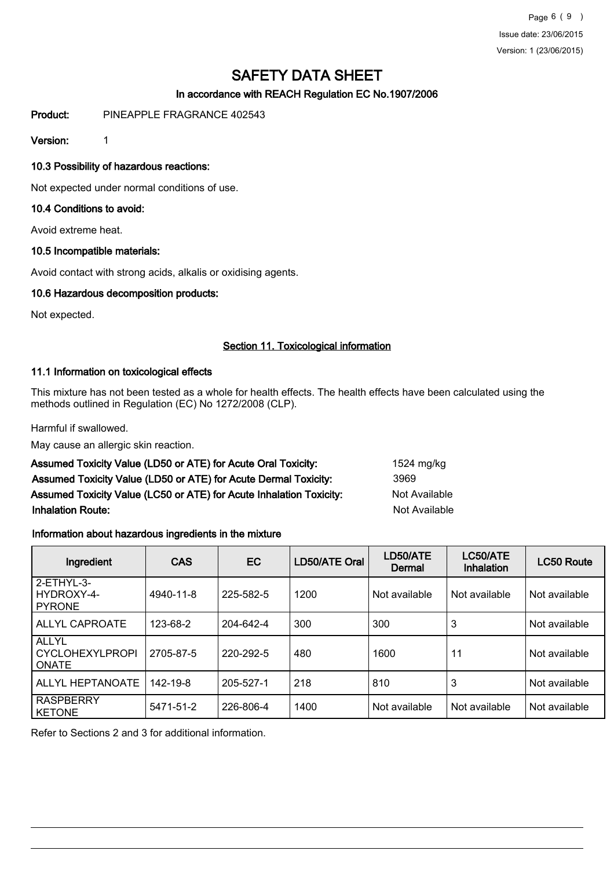Page 6 ( 9 ) Issue date: 23/06/2015 Version: 1 (23/06/2015)

# SAFETY DATA SHEET

# In accordance with REACH Regulation EC No.1907/2006

Product: PINEAPPLE FRAGRANCE 402543

Version: 1

## 10.3 Possibility of hazardous reactions:

Not expected under normal conditions of use.

#### 10.4 Conditions to avoid:

Avoid extreme heat.

#### 10.5 Incompatible materials:

Avoid contact with strong acids, alkalis or oxidising agents.

#### 10.6 Hazardous decomposition products:

Not expected.

#### Section 11. Toxicological information

#### 11.1 Information on toxicological effects

This mixture has not been tested as a whole for health effects. The health effects have been calculated using the methods outlined in Regulation (EC) No 1272/2008 (CLP).

Harmful if swallowed.

May cause an allergic skin reaction.

| Assumed Toxicity Value (LD50 or ATE) for Acute Oral Toxicity:       | 1524 mg/kg    |
|---------------------------------------------------------------------|---------------|
| Assumed Toxicity Value (LD50 or ATE) for Acute Dermal Toxicity:     | 3969          |
| Assumed Toxicity Value (LC50 or ATE) for Acute Inhalation Toxicity: | Not Available |
| <b>Inhalation Route:</b>                                            | Not Available |

## Information about hazardous ingredients in the mixture

| Ingredient                                             | <b>CAS</b> | <b>EC</b> | LD50/ATE Oral | LD50/ATE<br>Dermal | LC50/ATE<br>Inhalation | <b>LC50 Route</b> |
|--------------------------------------------------------|------------|-----------|---------------|--------------------|------------------------|-------------------|
| 2-ETHYL-3-<br>HYDROXY-4-<br><b>PYRONE</b>              | 4940-11-8  | 225-582-5 | 1200          | Not available      | Not available          | Not available     |
| <b>ALLYL CAPROATE</b>                                  | 123-68-2   | 204-642-4 | 300           | 300                | 3                      | Not available     |
| <b>ALLYL</b><br><b>CYCLOHEXYLPROPI</b><br><b>ONATE</b> | 2705-87-5  | 220-292-5 | 480           | 1600               | 11                     | Not available     |
| ALLYL HEPTANOATE                                       | 142-19-8   | 205-527-1 | 218           | 810                | 3                      | Not available     |
| <b>RASPBERRY</b><br><b>KETONE</b>                      | 5471-51-2  | 226-806-4 | 1400          | Not available      | Not available          | Not available     |

Refer to Sections 2 and 3 for additional information.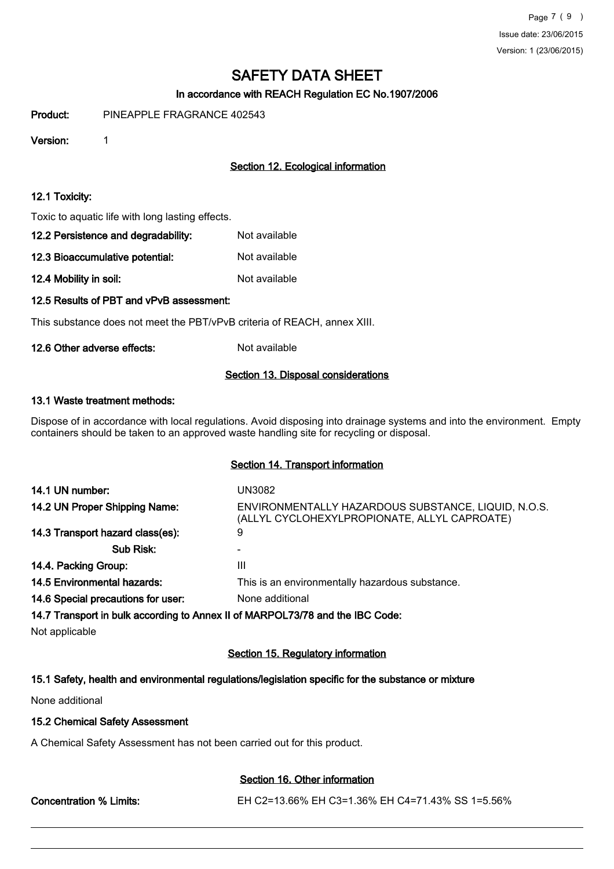# In accordance with REACH Regulation EC No.1907/2006

Product: PINEAPPLE FRAGRANCE 402543

Version: 1

# Section 12. Ecological information

#### 12.1 Toxicity:

Toxic to aquatic life with long lasting effects.

| 12.2 Persistence and degradability: | Not available |
|-------------------------------------|---------------|
| 12.3 Bioaccumulative potential:     | Not available |

12.4 Mobility in soil: Not available

## 12.5 Results of PBT and vPvB assessment:

This substance does not meet the PBT/vPvB criteria of REACH, annex XIII.

#### 12.6 Other adverse effects: Not available

#### Section 13. Disposal considerations

#### 13.1 Waste treatment methods:

Dispose of in accordance with local regulations. Avoid disposing into drainage systems and into the environment. Empty containers should be taken to an approved waste handling site for recycling or disposal.

#### Section 14. Transport information

| 14.1 UN number:                    | UN3082                                                                                              |
|------------------------------------|-----------------------------------------------------------------------------------------------------|
| 14.2 UN Proper Shipping Name:      | ENVIRONMENTALLY HAZARDOUS SUBSTANCE, LIQUID, N.O.S.<br>(ALLYL CYCLOHEXYLPROPIONATE, ALLYL CAPROATE) |
| 14.3 Transport hazard class(es):   | 9                                                                                                   |
| Sub Risk:                          |                                                                                                     |
| 14.4. Packing Group:               | Ш                                                                                                   |
| <b>14.5 Environmental hazards:</b> | This is an environmentally hazardous substance.                                                     |
| 14.6 Special precautions for user: | None additional                                                                                     |
|                                    | 14.7 Transport in bulk according to Annex II of MARPOL73/78 and the IBC Code:                       |

Not applicable

## Section 15. Regulatory information

## 15.1 Safety, health and environmental regulations/legislation specific for the substance or mixture

None additional

#### 15.2 Chemical Safety Assessment

A Chemical Safety Assessment has not been carried out for this product.

# Section 16. Other information

Concentration % Limits: EH C2=13.66% EH C3=1.36% EH C4=71.43% SS 1=5.56%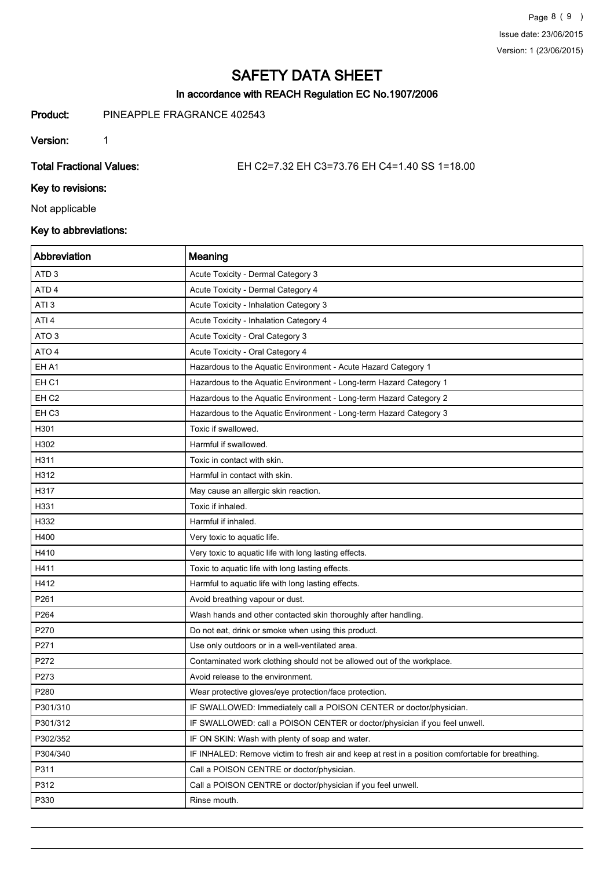# In accordance with REACH Regulation EC No.1907/2006

Product: PINEAPPLE FRAGRANCE 402543

Version: 1

Total Fractional Values: EH C2=7.32 EH C3=73.76 EH C4=1.40 SS 1=18.00

Key to revisions:

Not applicable

# Key to abbreviations:

| Abbreviation     | Meaning                                                                                          |
|------------------|--------------------------------------------------------------------------------------------------|
| ATD <sub>3</sub> | Acute Toxicity - Dermal Category 3                                                               |
| ATD <sub>4</sub> | Acute Toxicity - Dermal Category 4                                                               |
| ATI <sub>3</sub> | Acute Toxicity - Inhalation Category 3                                                           |
| ATI <sub>4</sub> | Acute Toxicity - Inhalation Category 4                                                           |
| ATO <sub>3</sub> | Acute Toxicity - Oral Category 3                                                                 |
| ATO 4            | Acute Toxicity - Oral Category 4                                                                 |
| EH A1            | Hazardous to the Aquatic Environment - Acute Hazard Category 1                                   |
| EH <sub>C1</sub> | Hazardous to the Aquatic Environment - Long-term Hazard Category 1                               |
| EH <sub>C2</sub> | Hazardous to the Aquatic Environment - Long-term Hazard Category 2                               |
| EH <sub>C3</sub> | Hazardous to the Aquatic Environment - Long-term Hazard Category 3                               |
| H301             | Toxic if swallowed.                                                                              |
| H302             | Harmful if swallowed.                                                                            |
| H311             | Toxic in contact with skin.                                                                      |
| H312             | Harmful in contact with skin.                                                                    |
| H317             | May cause an allergic skin reaction.                                                             |
| H331             | Toxic if inhaled.                                                                                |
| H332             | Harmful if inhaled.                                                                              |
| H400             | Very toxic to aquatic life.                                                                      |
| H410             | Very toxic to aquatic life with long lasting effects.                                            |
| H411             | Toxic to aquatic life with long lasting effects.                                                 |
| H412             | Harmful to aquatic life with long lasting effects.                                               |
| P261             | Avoid breathing vapour or dust.                                                                  |
| P264             | Wash hands and other contacted skin thoroughly after handling.                                   |
| P270             | Do not eat, drink or smoke when using this product.                                              |
| P271             | Use only outdoors or in a well-ventilated area.                                                  |
| P272             | Contaminated work clothing should not be allowed out of the workplace.                           |
| P273             | Avoid release to the environment.                                                                |
| P280             | Wear protective gloves/eye protection/face protection.                                           |
| P301/310         | IF SWALLOWED: Immediately call a POISON CENTER or doctor/physician.                              |
| P301/312         | IF SWALLOWED: call a POISON CENTER or doctor/physician if you feel unwell.                       |
| P302/352         | IF ON SKIN: Wash with plenty of soap and water.                                                  |
| P304/340         | IF INHALED: Remove victim to fresh air and keep at rest in a position comfortable for breathing. |
| P311             | Call a POISON CENTRE or doctor/physician.                                                        |
| P312             | Call a POISON CENTRE or doctor/physician if you feel unwell.                                     |
| P330             | Rinse mouth.                                                                                     |